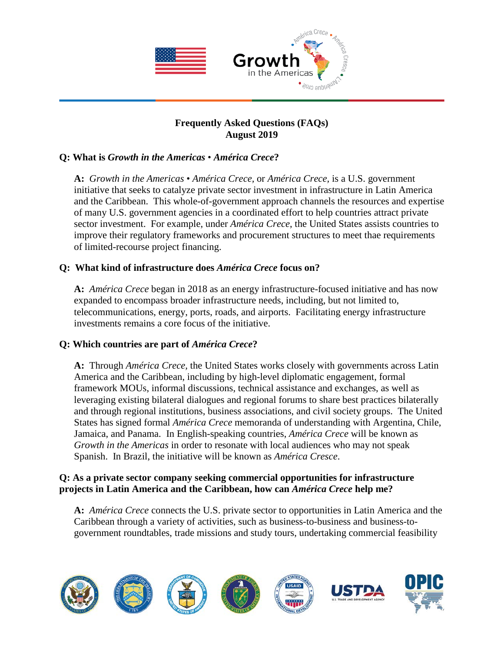

# **Frequently Asked Questions (FAQs) August 2019**

# **Q: What is** *Growth in the Americas* • *América Crece***?**

**A:** *Growth in the Americas* • *América Crece,* or *América Crece,* is a U.S. government initiative that seeks to catalyze private sector investment in infrastructure in Latin America and the Caribbean. This whole-of-government approach channels the resources and expertise of many U.S. government agencies in a coordinated effort to help countries attract private sector investment. For example, under *América Crece*, the United States assists countries to improve their regulatory frameworks and procurement structures to meet thae requirements of limited-recourse project financing.

# **Q: What kind of infrastructure does** *América Crece* **focus on?**

**A:** *América Crece* began in 2018 as an energy infrastructure-focused initiative and has now expanded to encompass broader infrastructure needs, including, but not limited to, telecommunications, energy, ports, roads, and airports. Facilitating energy infrastructure investments remains a core focus of the initiative.

### **Q: Which countries are part of** *América Crece***?**

**A:** Through *América Crece,* the United States works closely with governments across Latin America and the Caribbean, including by high-level diplomatic engagement, formal framework MOUs, informal discussions, technical assistance and exchanges, as well as leveraging existing bilateral dialogues and regional forums to share best practices bilaterally and through regional institutions, business associations, and civil society groups. The United States has signed formal *América Crece* memoranda of understanding with Argentina, Chile, Jamaica, and Panama. In English-speaking countries, *América Crece* will be known as *Growth in the Americas* in order to resonate with local audiences who may not speak Spanish. In Brazil, the initiative will be known as *América Cresce*.

### **Q: As a private sector company seeking commercial opportunities for infrastructure projects in Latin America and the Caribbean, how can** *América Crece* **help me?**

**A:** *América Crece* connects the U.S. private sector to opportunities in Latin America and the Caribbean through a variety of activities, such as business-to-business and business-togovernment roundtables, trade missions and study tours, undertaking commercial feasibility